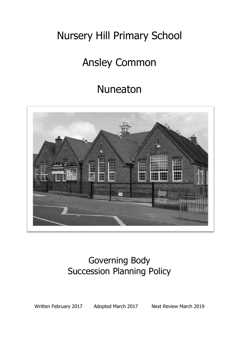# Nursery Hill Primary School

# Ansley Common

## Nuneaton



### Governing Body Succession Planning Policy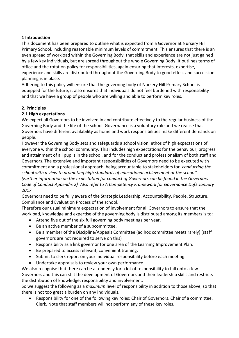#### **1 Introduction**

This document has been prepared to outline what is expected from a Governor at Nursery Hill Primary School, including reasonable minimum levels of commitment. This ensures that there is an even spread of workload within the Governing Body, that skills and experience are not just gained by a few key individuals, but are spread throughout the whole Governing Body. It outlines terms of office and the rotation policy for responsibilities, again ensuring that interests, expertise, experience and skills are distributed throughout the Governing Body to good effect and succession planning is in place.

Adhering to this policy will ensure that the governing body of Nursery Hill Primary School is equipped for the future; it also ensures that individuals do not feel burdened with responsibility and that we have a group of people who are willing and able to perform key roles.

#### **2. Principles**

#### **2.1 High expectations**

We expect all Governors to be involved in and contribute effectively to the regular business of the Governing Body and the life of the school. Governance is a voluntary role and we realise that Governors have different availability as home and work responsibilities make different demands on people.

However the Governing Body sets and safeguards a school vision, ethos of high expectations of everyone within the school community. This includes high expectations for the behaviour, progress and attainment of all pupils in the school, and for the conduct and professionalism of both staff and Governors. The extensive and important responsibilities of Governors need to be executed with commitment and a professional approach, being accountable to stakeholders for *'conducting the school with a view to promoting high standards of educational achievement at the school'. (Further information on the expectation for conduct of Governors can be found in the Governors Code of Conduct Appendix 2) Also refer to A Competency Framework for Governance DofE January 2017*

Governors need to be fully aware of the Strategic Leadership, Accountability, People, Structure, Compliance and Evaluation Process of the school.

Therefore our usual minimum expectation of involvement for all Governors to ensure that the workload, knowledge and expertise of the governing body is distributed among its members is to:

- Attend five out of the six full governing body meetings per year.
- Be an active member of a subcommittee.
- Be a member of the Discipline/Appeals Committee (ad hoc committee meets rarely) (staff governors are not required to serve on this)
- Responsibility as a link governor for one area of the Learning Improvement Plan.
- Be prepared to access relevant, convenient training.
- Submit to clerk report on your individual responsibility before each meeting.
- Undertake appraisals to review your own performance.

We also recognise that there can be a tendency for a lot of responsibility to fall onto a few Governors and this can stilt the development of Governors and their leadership skills and restricts the distribution of knowledge, responsibility and involvement.

So we suggest the following as a *maximum* level of responsibility in addition to those above, so that there is not too great a burden on any individuals.

 Responsibility for one of the following key roles: Chair of Governors, Chair of a committee, Clerk. Note that staff members will not perform any of these key roles.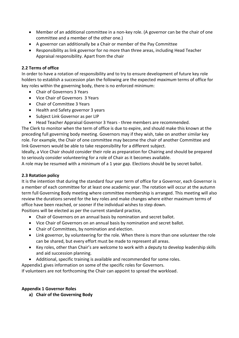- Member of an additional committee in a non-key role. (A governor can be the chair of one committee and a member of the other one.)
- A governor can additionally be a Chair or member of the Pay Committee
- Responsibility as link governor for no more than three areas, including Head Teacher Appraisal responsibility. Apart from the chair

#### **2.2 Terms of office**

In order to have a rotation of responsibility and to try to ensure development of future key role holders to establish a succession plan the following are the expected *maximum* terms of office for key roles within the governing body, there is no enforced minimum:

- Chair of Governors 3 Years
- Vice Chair of Governors 3 Years
- Chair of Committee 3 Years
- Health and Safety governor 3 years
- Subject Link Governor as per LIP
- Head Teacher Appraisal Governor 3 Years three members are recommended.

The Clerk to monitor when the term of office is due to expire, and should make this known at the preceding full governing body meeting. Governors may if they wish, take on another similar key role. For example, the Chair of one committee may become the chair of another Committee and link Governors would be able to take responsibility for a different subject.

Ideally, a Vice Chair should consider their role as preparation for Chairing and should be prepared to seriously consider volunteering for a role of Chair as it becomes available.

A role may be resumed with a minimum of a 1 year gap. Elections should be by secret ballot.

#### **2.3 Rotation policy**

It is the intention that during the standard four year term of office for a Governor, each Governor is a member of each committee for at least one academic year. The rotation will occur at the autumn term full Governing Body meeting where committee membership is arranged. This meeting will also review the durations served for the key roles and make changes where either maximum terms of office have been reached, or sooner if the individual wishes to step down.

Positions will be elected as per the current standard practice,

- Chair of Governors on an annual basis by nomination and secret ballot.
- Vice Chair of Governors on an annual basis by nomination and secret ballot.
- Chair of Committees, by nomination and election.
- Link governor, by volunteering for the role. When there is more than one volunteer the role can be shared, but every effort must be made to represent all areas.
- Key roles, other than Chair's are welcome to work with a deputy to develop leadership skills and aid succession planning.
- Additional, specific training is available and recommended for some roles.

Appendix1 gives information on some of the specific roles for Governors.

If volunteers are not forthcoming the Chair can appoint to spread the workload.

#### **Appendix 1 Governor Roles**

**a) Chair of the Governing Body**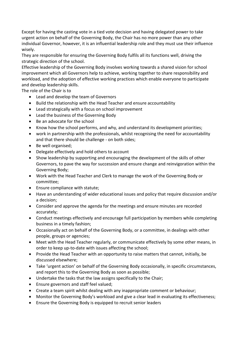Except for having the casting vote in a tied vote decision and having delegated power to take urgent action on behalf of the Governing Body, the Chair has no more power than any other individual Governor, however, it is an influential leadership role and they must use their influence wisely.

They are responsible for ensuring the Governing Body fulfils all its functions well, driving the strategic direction of the school.

Effective leadership of the Governing Body involves working towards a shared vision for school improvement which all Governors help to achieve, working together to share responsibility and workload, and the adoption of effective working practices which enable everyone to participate and develop leadership skills.

The role of the Chair is to

- Lead and develop the team of Governors
- Build the relationship with the Head Teacher and ensure accountability
- Lead strategically with a focus on school improvement
- Lead the business of the Governing Body
- Be an advocate for the school
- Know how the school performs, and why, and understand its development priorities;
- work in partnership with the professionals, whilst recognising the need for accountability and that there should be challenge - on both sides;
- Be well organised;
- Delegate effectively and hold others to account
- Show leadership by supporting and encouraging the development of the skills of other Governors, to pave the way for succession and ensure change and reinvigoration within the Governing Body;
- Work with the Head Teacher and Clerk to manage the work of the Governing Body or committee;
- Ensure compliance with statute:
- Have an understanding of wider educational issues and policy that require discussion and/or a decision;
- Consider and approve the agenda for the meetings and ensure minutes are recorded accurately;
- Conduct meetings effectively and encourage full participation by members while completing business in a timely fashion;
- Occasionally act on behalf of the Governing Body, or a committee, in dealings with other people, groups or agencies;
- Meet with the Head Teacher regularly, or communicate effectively by some other means, in order to keep up-to-date with issues affecting the school;
- Provide the Head Teacher with an opportunity to raise matters that cannot, initially, be discussed elsewhere;
- Take 'urgent action' on behalf of the Governing Body occasionally, in specific circumstances, and report this to the Governing Body as soon as possible;
- Undertake the tasks that the law assigns specifically to the Chair;
- Ensure governors and staff feel valued;
- Create a team spirit whilst dealing with any inappropriate comment or behaviour;
- Monitor the Governing Body's workload and give a clear lead in evaluating its effectiveness;
- Ensure the Governing Body is equipped to recruit senior leaders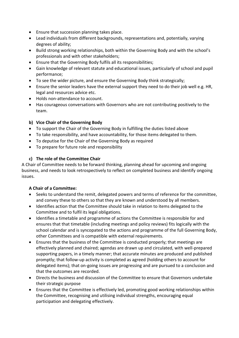- Ensure that succession planning takes place.
- Lead individuals from different backgrounds, representations and, potentially, varying degrees of ability;
- Build strong working relationships, both within the Governing Body and with the school's professionals and with other stakeholders;
- Ensure that the Governing Body fulfils all its responsibilities;
- Gain knowledge of relevant statute and educational issues, particularly of school and pupil performance;
- To see the wider picture, and ensure the Governing Body think strategically;
- Ensure the senior leaders have the external support they need to do their job well e.g. HR, legal and resources advice etc.
- Holds non-attendance to account.
- Has courageous conversations with Governors who are not contributing positively to the team.

#### **b) Vice Chair of the Governing Body**

- To support the Chair of the Governing Body in fulfilling the duties listed above
- To take responsibility, and have accountability, for those items delegated to them.
- To deputise for the Chair of the Governing Body as required
- To prepare for future role and responsibility

#### **c) The role of the Committee Chair**

A Chair of Committee needs to be forward thinking, planning ahead for upcoming and ongoing business, and needs to look retrospectively to reflect on completed business and identify ongoing issues.

#### **A Chair of a Committee:**

- Seeks to understand the remit, delegated powers and terms of reference for the committee, and convey these to others so that they are known and understood by all members.
- Identifies action that the Committee should take in relation to items delegated to the Committee and to fulfil its legal obligations.
- Identifies a timetable and programme of actions the Committee is responsible for and ensures that that timetable (including meetings and policy reviews) fits logically with the school calendar and is syncopated to the actions and programme of the full Governing Body, other Committees and is compatible with external requirements.
- Ensures that the business of the Committee is conducted properly; that meetings are effectively planned and chaired; agendas are drawn up and circulated, with well-prepared supporting papers, in a timely manner; that accurate minutes are produced and published promptly; that follow-up activity is completed as agreed (holding others to account for delegated items); that on-going issues are progressing and are pursued to a conclusion and that the outcomes are recorded.
- Directs the business and discussion of the Committee to ensure that Governors undertake their strategic purpose
- Ensures that the Committee is effectively led, promoting good working relationships within the Committee, recognising and utilising individual strengths, encouraging equal participation and delegating effectively.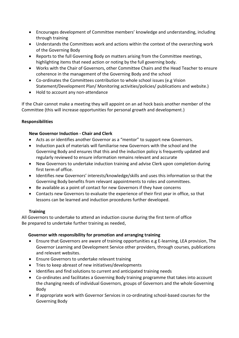- Encourages development of Committee members' knowledge and understanding, including through training
- Understands the Committees work and actions within the context of the overarching work of the Governing Body
- Reports to the full Governing Body on matters arising from the Committee meetings, highlighting items that need action or noting by the full governing body.
- Works with the Chair of Governors, other Committee Chairs and the Head Teacher to ensure coherence in the management of the Governing Body and the school
- Co-ordinates the Committees contribution to whole school issues (e.g Vision Statement/Development Plan/ Monitoring activities/policies/ publications and website.)
- Hold to account any non-attendance

If the Chair cannot make a meeting they will appoint on an ad hock basis another member of the Committee (this will increase opportunities for personal growth and development.)

#### **Responsibilities**

#### **New Governor Induction - Chair and Clerk**

- Acts as or identifies another Governor as a "mentor" to support new Governors.
- Induction pack of materials will familiarise new Governors with the school and the Governing Body and ensures that this and the induction policy is frequently updated and regularly reviewed to ensure information remains relevant and accurate
- New Governors to undertake induction training and advise Clerk upon completion during first term of office.
- Identifies new Governors' interests/knowledge/skills and uses this information so that the Governing Body benefits from relevant appointments to roles and committees.
- Be available as a point of contact for new Governors if they have concerns
- Contacts new Governors to evaluate the experience of their first year in office, so that lessons can be learned and induction procedures further developed.

#### **Training**

All Governors to undertake to attend an induction course during the first term of office Be prepared to undertake further training as needed,

#### **Governor with responsibility for promotion and arranging training**

- Ensure that Governors are aware of training opportunities e.g E-learning, LEA provision, The Governor Learning and Development Service other providers, through courses, publications and relevant websites.
- Ensure Governors to undertake relevant training
- Tries to keep abreast of new initiatives/developments
- Identifies and find solutions to current and anticipated training needs
- Co-ordinates and facilitates a Governing Body training programme that takes into account the changing needs of individual Governors, groups of Governors and the whole Governing Body
- If appropriate work with Governor Services in co-ordinating school-based courses for the Governing Body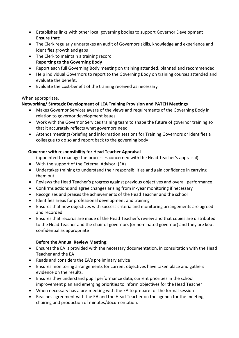- Establishes links with other local governing bodies to support Governor Development **Ensure that:**
- The Clerk regularly undertakes an audit of Governors skills, knowledge and experience and identifies growth and gaps
- The Clerk to maintain a training record **Reporting to the Governing Body**
- Report each full Governing Body meeting on training attended, planned and recommended
- Help individual Governors to report to the Governing Body on training courses attended and evaluate the benefit.
- Evaluate the cost-benefit of the training received as necessary

#### When appropriate.

#### **Networking/ Strategic Development of LEA Training Provision and PATCH Meetings**

- Makes Governor Services aware of the views and requirements of the Governing Body in relation to governor development issues
- Work with the Governor Services training team to shape the future of governor training so that it accurately reflects what governors need
- Attends meetings/briefing and information sessions for Training Governors or identifies a colleague to do so and report back to the governing body

#### **Governor with responsibility for Head Teacher Appraisal**

(appointed to manage the processes concerned with the Head Teacher's appraisal)

- With the support of the External Advisor: (EA)
- Undertakes training to understand their responsibilities and gain confidence in carrying them out
- Reviews the Head Teacher's progress against previous objectives and overall performance
- Confirms actions and agree changes arising from in-year monitoring if necessary
- Recognises and praises the achievements of the Head Teacher and the school
- Identifies areas for professional development and training
- Ensures that new objectives with success criteria and monitoring arrangements are agreed and recorded
- Ensures that records are made of the Head Teacher's review and that copies are distributed to the Head Teacher and the chair of governors (or nominated governor) and they are kept confidential as appropriate

#### **Before the Annual Review Meeting**:

- Ensures the EA is provided with the necessary documentation, in consultation with the Head Teacher and the EA
- Reads and considers the EA's preliminary advice
- Ensures monitoring arrangements for current objectives have taken place and gathers evidence on the results.
- Ensures they understand pupil performance data, current priorities in the school improvement plan and emerging priorities to inform objectives for the Head Teacher
- When necessary has a pre-meeting with the EA to prepare for the formal session
- Reaches agreement with the EA and the Head Teacher on the agenda for the meeting, chairing and production of minutes/documentation.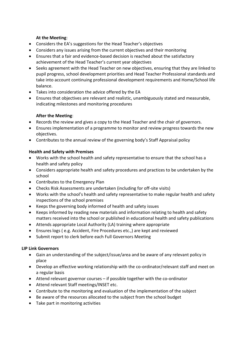#### **At the Meeting**:

- Considers the EA's suggestions for the Head Teacher's objectives
- Considers any issues arising from the current objectives and their monitoring
- Ensures that a fair and evidence-based decision is reached about the satisfactory achievement of the Head Teacher's current year objectives
- Seeks agreement with the Head Teacher on new objectives, ensuring that they are linked to pupil progress, school development priorities and Head Teacher Professional standards and take into account continuing professional development requirements and Home/School life balance.
- Takes into consideration the advice offered by the EA
- Ensures that objectives are relevant and realistic, unambiguously stated and measurable, indicating milestones and monitoring procedures

#### **After the Meeting**:

- Records the review and gives a copy to the Head Teacher and the chair of governors.
- Ensures implementation of a programme to monitor and review progress towards the new objectives.
- Contributes to the annual review of the governing body's Staff Appraisal policy

#### **Health and Safety with Premises**

- Works with the school health and safety representative to ensure that the school has a health and safety policy
- Considers appropriate health and safety procedures and practices to be undertaken by the school
- Contributes to the Emergency Plan
- Checks Risk Assessments are undertaken (including for off-site visits)
- Works with the school's health and safety representative to make regular health and safety inspections of the school premises
- Keeps the governing body informed of health and safety issues
- Keeps informed by reading new materials and information relating to health and safety matters received into the school or published in educational health and safety publications
- Attends appropriate Local Authority (LA) training where appropriate
- Ensures logs ( e.g. Accident, Fire Procedures etc.,) are kept and reviewed
- Submit report to clerk before each Full Governors Meeting

#### **LIP Link Governors**

- Gain an understanding of the subject/issue/area and be aware of any relevant policy in place
- Develop an effective working relationship with the co-ordinator/relevant staff and meet on a regular basis
- Attend relevant governor courses if possible together with the co-ordinator
- Attend relevant Staff meetings/INSET etc.
- Contribute to the monitoring and evaluation of the implementation of the subject
- Be aware of the resources allocated to the subject from the school budget
- Take part in monitoring activities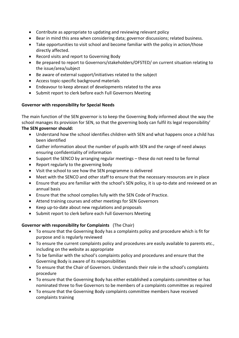- Contribute as appropriate to updating and reviewing relevant policy
- Bear in mind this area when considering data; governor discussions; related business.
- Take opportunities to visit school and become familiar with the policy in action/those directly affected.
- Record visits and report to Governing Body
- Be prepared to report to Governors/stakeholders/OFSTED/ on current situation relating to the issue/area/subject
- Be aware of external support/initiatives related to the subject
- Access topic-specific background materials
- Endeavour to keep abreast of developments related to the area
- Submit report to clerk before each Full Governors Meeting

#### **Governor with responsibility for Special Needs**

The main function of the SEN governor is to keep the Governing Body informed about the way the school manages its provision for SEN, so that the governing body can fulfil its legal responsibility' **The SEN governor should:** 

- Understand how the school identifies children with SEN and what happens once a child has been identified
- Gather information about the number of pupils with SEN and the range of need always ensuring confidentiality of information
- Support the SENCO by arranging regular meetings these do not need to be formal
- Report regularly to the governing body
- Visit the school to see how the SEN programme is delivered
- Meet with the SENCO and other staff to ensure that the necessary resources are in place
- Ensure that you are familiar with the school's SEN policy, it is up-to-date and reviewed on an annual basis
- Ensure that the school complies fully with the SEN Code of Practice.
- Attend training courses and other meetings for SEN Governors
- Keep up-to-date about new regulations and proposals
- Submit report to clerk before each Full Governors Meeting

#### **Governor with responsibility for Complaints** (The Chair)

- To ensure that the Governing Body has a complaints policy and procedure which is fit for purpose and is regularly reviewed
- To ensure the current complaints policy and procedures are easily available to parents etc., including on the website as appropriate
- To be familiar with the school's complaints policy and procedures and ensure that the Governing Body is aware of its responsibilities
- To ensure that the Chair of Governors. Understands their role in the school's complaints procedure
- To ensure that the Governing Body has either established a complaints committee or has nominated three to five Governors to be members of a complaints committee as required
- To ensure that the Governing Body complaints committee members have received complaints training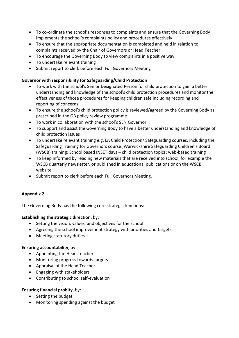- To co-ordinate the school's responses to complaints and ensure that the Governing Body implements the school's complaints policy and procedures effectively
- To ensure that the appropriate documentation is completed and held in relation to complaints received by the Chair of Governors or Head Teacher
- To encourage the Governing Body to view complaints in a positive way.
- To undertake relevant training
- Submit report to clerk before each Full Governors Meeting

#### **Governor with responsibility for Safeguarding/Child Protection**

- To work with the school's Senior Designated Person for child protection to gain a better understanding and knowledge of the school's child protection procedures and monitor the effectiveness of those procedures for keeping children safe including recording and reporting of concerns
- To ensure the school's child protection policy is reviewed/agreed by the Governing Body as prescribed in the GB policy review programme
- To work in collaboration with the school's SEN Governor
- To support and assist the Governing Body to have a better understanding and knowledge of child protection issues
- To undertake relevant training e.g. LA Child Protection/ Safeguarding courses, including the Safeguarding Training for Governors course ;Warwickshire Safeguarding Children's Board (WSCB) training; School based INSET days – child protection topics; web-based training
- To keep informed by reading new materials that are received into school, for example the WSCB quarterly newsletter, or published in educational publications or on the WSCB website.
- Submit report to clerk before each Full Governors Meeting.

#### **Appendix 2**

The Governing Body has the following core strategic functions:

#### **Establishing the strategic direction**, by:

- Setting the vision, values, and objectives for the school
- Agreeing the school improvement strategy with priorities and targets
- Meeting statutory duties

#### **Ensuring accountability**, by:

- Appointing the Head Teacher
- Monitoring progress towards targets
- Appraisal of the Head Teacher
- Engaging with stakeholders
- Contributing to school self-evaluation

#### **Ensuring financial probity**, by:

- Setting the budget
- Monitoring spending against the budget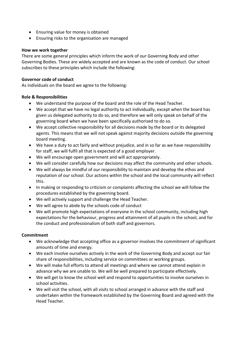- Ensuring value for money is obtained
- Ensuring risks to the organisation are managed

#### **How we work together**

There are some general principles which inform the work of our Governing Body and other Governing Bodies. These are widely accepted and are known as the code of conduct. Our school subscribes to these principles which include the following:

#### **Governor code of conduct**

As individuals on the board we agree to the following:

#### **Role & Responsibilities**

- We understand the purpose of the board and the role of the Head Teacher.
- We accept that we have no legal authority to act individually, except when the board has given us delegated authority to do so, and therefore we will only speak on behalf of the governing board when we have been specifically authorised to do so.
- We accept collective responsibility for all decisions made by the board or its delegated agents. This means that we will not speak against majority decisions outside the governing board meeting.
- We have a duty to act fairly and without prejudice, and in so far as we have responsibility for staff, we will fulfil all that is expected of a good employer.
- We will encourage open government and will act appropriately.
- We will consider carefully how our decisions may affect the community and other schools.
- We will always be mindful of our responsibility to maintain and develop the ethos and reputation of our school. Our actions within the school and the local community will reflect this.
- In making or responding to criticism or complaints affecting the school we will follow the procedures established by the governing board.
- We will actively support and challenge the Head Teacher.
- We will agree to abide by the schools code of conduct
- We will promote high expectations of everyone in the school community, including high expectations for the behaviour, progress and attainment of all pupils in the school, and for the conduct and professionalism of both staff and governors.

#### **Commitment**

- We acknowledge that accepting office as a governor involves the commitment of significant amounts of time and energy.
- We each involve ourselves actively in the work of the Governing Body and accept our fair share of responsibilities, including service on committees or working groups.
- We will make full efforts to attend all meetings and where we cannot attend explain in advance why we are unable to. We will be well prepared to participate effectively.
- We will get to know the school well and respond to opportunities to involve ourselves in school activities.
- We will visit the school, with all visits to school arranged in advance with the staff and undertaken within the framework established by the Governing Board and agreed with the Head Teacher.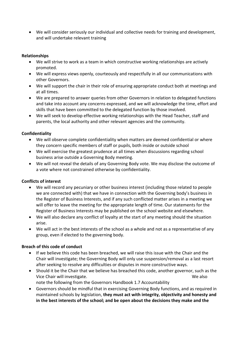We will consider seriously our individual and collective needs for training and development, and will undertake relevant training

#### **Relationships**

- We will strive to work as a team in which constructive working relationships are actively promoted.
- We will express views openly, courteously and respectfully in all our communications with other Governors.
- We will support the chair in their role of ensuring appropriate conduct both at meetings and at all times.
- We are prepared to answer queries from other Governors in relation to delegated functions and take into account any concerns expressed, and we will acknowledge the time, effort and skills that have been committed to the delegated function by those involved.
- We will seek to develop effective working relationships with the Head Teacher, staff and parents, the local authority and other relevant agencies and the community.

#### **Confidentiality**

- We will observe complete confidentiality when matters are deemed confidential or where they concern specific members of staff or pupils, both inside or outside school
- We will exercise the greatest prudence at all times when discussions regarding school business arise outside a Governing Body meeting.
- We will not reveal the details of any Governing Body vote. We may disclose the outcome of a vote where not constrained otherwise by confidentiality.

#### **Conflicts of interest**

- We will record any pecuniary or other business interest (including those related to people we are connected with) that we have in connection with the Governing body's business in the Register of Business Interests, and if any such conflicted matter arises in a meeting we will offer to leave the meeting for the appropriate length of time. Our statements for the Register of Business Interests may be published on the school website and elsewhere.
- We will also declare any conflict of loyalty at the start of any meeting should the situation arise.
- We will act in the best interests of the school as a whole and not as a representative of any group, even if elected to the governing body.

#### **Breach of this code of conduct**

- If we believe this code has been breached, we will raise this issue with the Chair and the Chair will investigate; the Governing Body will only use suspension/removal as a last resort after seeking to resolve any difficulties or disputes in more constructive ways.
- Should it be the Chair that we believe has breached this code, another governor, such as the Vice Chair will investigate. We also
	- note the following from the Governors Handbook 1.7 Accountability
- Governors should be mindful that in exercising Governing Body functions, and as required in maintained schools by legislation, **they must act with integrity, objectivity and honesty and in the best interests of the school; and be open about the decisions they make and the**